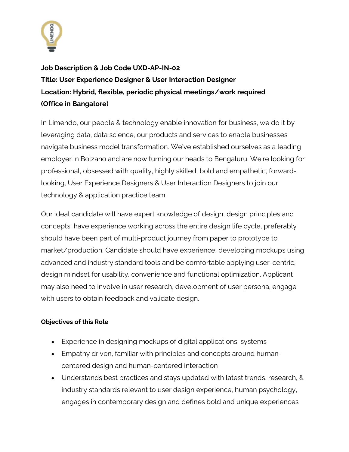

**Job Description & Job Code UXD-AP-IN-02 Title: User Experience Designer & User Interaction Designer Location: Hybrid, flexible, periodic physical meetings/work required (Office in Bangalore)**

In Limendo, our people & technology enable innovation for business, we do it by leveraging data, data science, our products and services to enable businesses navigate business model transformation. We've established ourselves as a leading employer in Bolzano and are now turning our heads to Bengaluru. We're looking for professional, obsessed with quality, highly skilled, bold and empathetic, forwardlooking, User Experience Designers & User Interaction Designers to join our technology & application practice team.

Our ideal candidate will have expert knowledge of design, design principles and concepts, have experience working across the entire design life cycle, preferably should have been part of multi-product journey from paper to prototype to market/production. Candidate should have experience, developing mockups using advanced and industry standard tools and be comfortable applying user-centric, design mindset for usability, convenience and functional optimization. Applicant may also need to involve in user research, development of user persona, engage with users to obtain feedback and validate design.

## **Objectives of this Role**

- Experience in designing mockups of digital applications, systems
- Empathy driven, familiar with principles and concepts around humancentered design and human-centered interaction
- Understands best practices and stays updated with latest trends, research, & industry standards relevant to user design experience, human psychology, engages in contemporary design and defines bold and unique experiences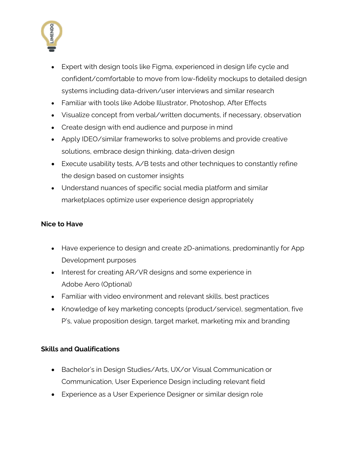

- Expert with design tools like Figma, experienced in design life cycle and confident/comfortable to move from low-fidelity mockups to detailed design systems including data-driven/user interviews and similar research
- Familiar with tools like Adobe Illustrator, Photoshop, After Effects
- Visualize concept from verbal/written documents, if necessary, observation
- Create design with end audience and purpose in mind
- Apply IDEO/similar frameworks to solve problems and provide creative solutions, embrace design thinking, data-driven design
- Execute usability tests, A/B tests and other techniques to constantly refine the design based on customer insights
- Understand nuances of specific social media platform and similar marketplaces optimize user experience design appropriately

## **Nice to Have**

- Have experience to design and create 2D-animations, predominantly for App Development purposes
- Interest for creating AR/VR designs and some experience in Adobe Aero (Optional)
- Familiar with video environment and relevant skills, best practices
- Knowledge of key marketing concepts (product/service), segmentation, five P's, value proposition design, target market, marketing mix and branding

## **Skills and Qualifications**

- Bachelor's in Design Studies/Arts, UX/or Visual Communication or Communication, User Experience Design including relevant field
- Experience as a User Experience Designer or similar design role